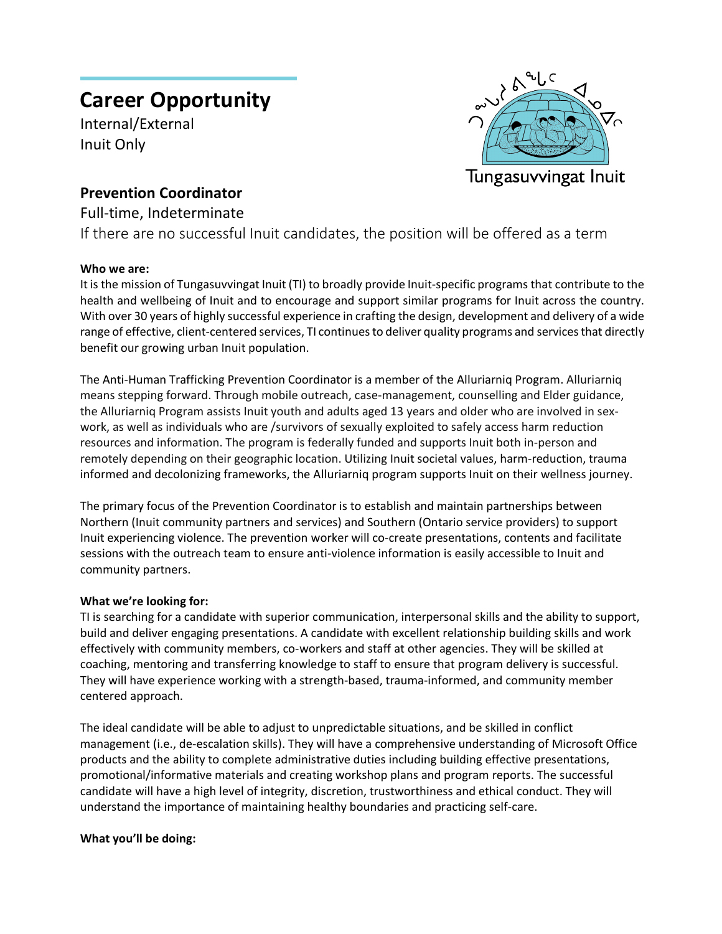# **Career Opportunity**

Internal/External Inuit Only



# **Prevention Coordinator**

## Full-time, Indeterminate

If there are no successful Inuit candidates, the position will be offered as a term

### **Who we are:**

It is the mission of Tungasuvvingat Inuit (TI) to broadly provide Inuit-specific programs that contribute to the health and wellbeing of Inuit and to encourage and support similar programs for Inuit across the country. With over 30 years of highly successful experience in crafting the design, development and delivery of a wide range of effective, client-centered services, TI continues to deliver quality programs and services that directly benefit our growing urban Inuit population.

The Anti-Human Trafficking Prevention Coordinator is a member of the Alluriarniq Program. Alluriarniq means stepping forward. Through mobile outreach, case-management, counselling and Elder guidance, the Alluriarniq Program assists Inuit youth and adults aged 13 years and older who are involved in sexwork, as well as individuals who are /survivors of sexually exploited to safely access harm reduction resources and information. The program is federally funded and supports Inuit both in-person and remotely depending on their geographic location. Utilizing Inuit societal values, harm-reduction, trauma informed and decolonizing frameworks, the Alluriarniq program supports Inuit on their wellness journey.

The primary focus of the Prevention Coordinator is to establish and maintain partnerships between Northern (Inuit community partners and services) and Southern (Ontario service providers) to support Inuit experiencing violence. The prevention worker will co-create presentations, contents and facilitate sessions with the outreach team to ensure anti-violence information is easily accessible to Inuit and community partners.

#### **What we're looking for:**

TI is searching for a candidate with superior communication, interpersonal skills and the ability to support, build and deliver engaging presentations. A candidate with excellent relationship building skills and work effectively with community members, co-workers and staff at other agencies. They will be skilled at coaching, mentoring and transferring knowledge to staff to ensure that program delivery is successful. They will have experience working with a strength-based, trauma-informed, and community member centered approach.

The ideal candidate will be able to adjust to unpredictable situations, and be skilled in conflict management (i.e., de-escalation skills). They will have a comprehensive understanding of Microsoft Office products and the ability to complete administrative duties including building effective presentations, promotional/informative materials and creating workshop plans and program reports. The successful candidate will have a high level of integrity, discretion, trustworthiness and ethical conduct. They will understand the importance of maintaining healthy boundaries and practicing self-care.

#### **What you'll be doing:**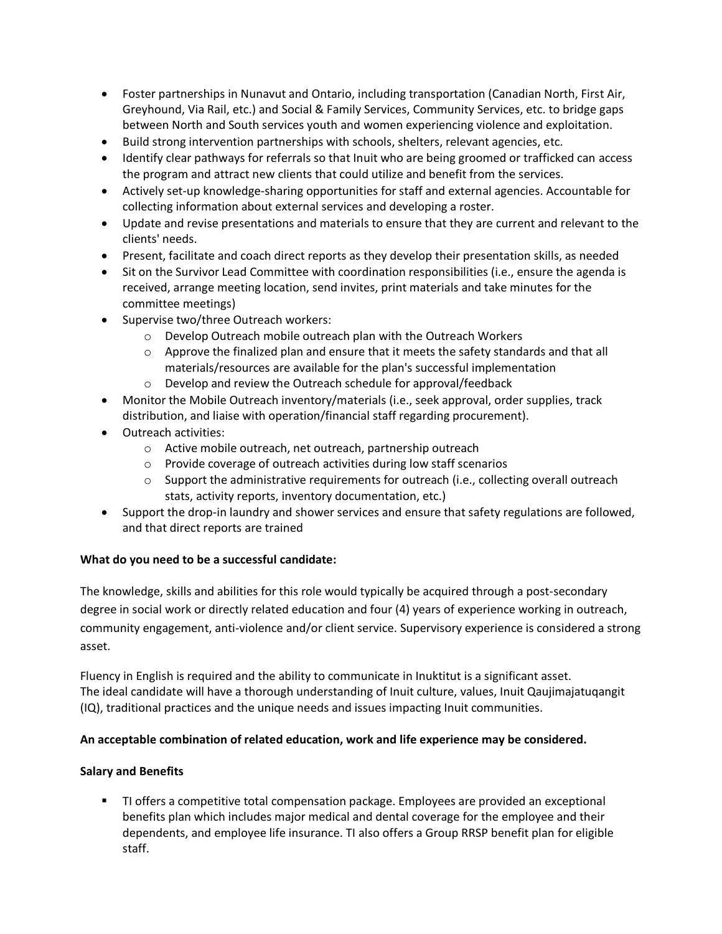- Foster partnerships in Nunavut and Ontario, including transportation (Canadian North, First Air, Greyhound, Via Rail, etc.) and Social & Family Services, Community Services, etc. to bridge gaps between North and South services youth and women experiencing violence and exploitation.
- Build strong intervention partnerships with schools, shelters, relevant agencies, etc.
- Identify clear pathways for referrals so that Inuit who are being groomed or trafficked can access the program and attract new clients that could utilize and benefit from the services.
- Actively set-up knowledge-sharing opportunities for staff and external agencies. Accountable for collecting information about external services and developing a roster.
- Update and revise presentations and materials to ensure that they are current and relevant to the clients' needs.
- Present, facilitate and coach direct reports as they develop their presentation skills, as needed
- Sit on the Survivor Lead Committee with coordination responsibilities (i.e., ensure the agenda is received, arrange meeting location, send invites, print materials and take minutes for the committee meetings)
- Supervise two/three Outreach workers:
	- o Develop Outreach mobile outreach plan with the Outreach Workers
	- $\circ$  Approve the finalized plan and ensure that it meets the safety standards and that all materials/resources are available for the plan's successful implementation
	- o Develop and review the Outreach schedule for approval/feedback
- Monitor the Mobile Outreach inventory/materials (i.e., seek approval, order supplies, track distribution, and liaise with operation/financial staff regarding procurement).
- Outreach activities:
	- o Active mobile outreach, net outreach, partnership outreach
	- o Provide coverage of outreach activities during low staff scenarios
	- $\circ$  Support the administrative requirements for outreach (i.e., collecting overall outreach stats, activity reports, inventory documentation, etc.)
- Support the drop-in laundry and shower services and ensure that safety regulations are followed, and that direct reports are trained

#### **What do you need to be a successful candidate:**

The knowledge, skills and abilities for this role would typically be acquired through a post-secondary degree in social work or directly related education and four (4) years of experience working in outreach, community engagement, anti-violence and/or client service. Supervisory experience is considered a strong asset.

Fluency in English is required and the ability to communicate in Inuktitut is a significant asset. The ideal candidate will have a thorough understanding of Inuit culture, values, Inuit Qaujimajatuqangit (IQ), traditional practices and the unique needs and issues impacting Inuit communities.

#### **An acceptable combination of related education, work and life experience may be considered.**

#### **Salary and Benefits**

 TI offers a competitive total compensation package. Employees are provided an exceptional benefits plan which includes major medical and dental coverage for the employee and their dependents, and employee life insurance. TI also offers a Group RRSP benefit plan for eligible staff.